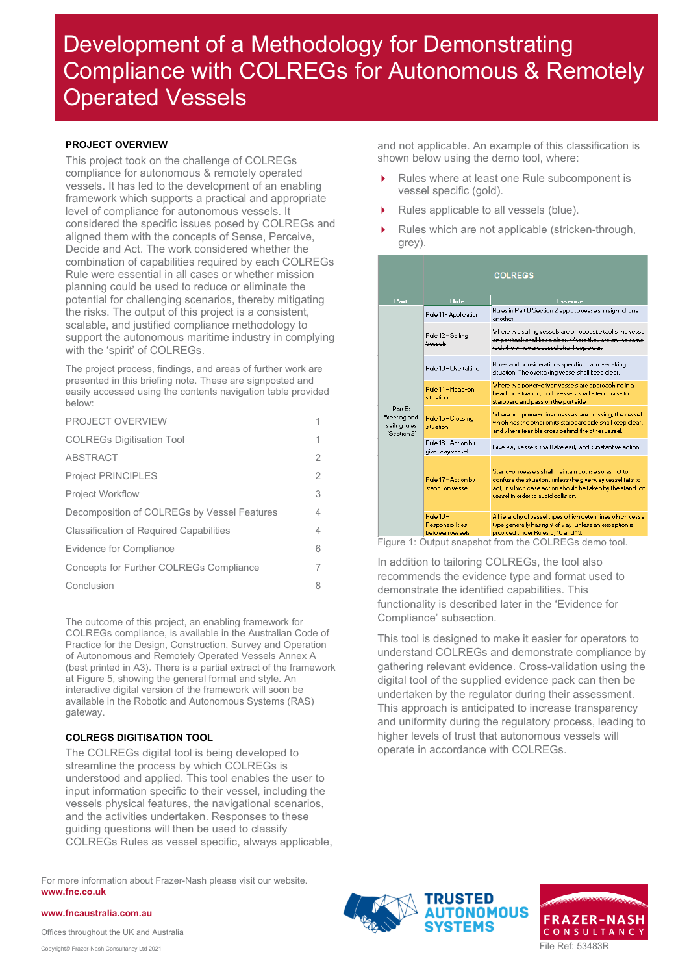### <span id="page-0-0"></span>**PROJECT OVERVIEW**

This project took on the challenge of COLREGs compliance for autonomous & remotely operated vessels. It has led to the development of an enabling framework which supports a practical and appropriate level of compliance for autonomous vessels. It considered the specific issues posed by COLREGs and aligned them with the concepts of Sense, Perceive, Decide and Act. The work considered whether the combination of capabilities required by each COLREGs Rule were essential in all cases or whether mission planning could be used to reduce or eliminate the potential for challenging scenarios, thereby mitigating the risks. The output of this project is a consistent, scalable, and justified compliance methodology to support the autonomous maritime industry in complying with the 'spirit' of COLREGs.

The project process, findings, and areas of further work are presented in this briefing note. These are signposted and easily accessed using the contents navigation table provided below:

| PROJECT OVERVIEW                               |   |
|------------------------------------------------|---|
| <b>COLREGs Digitisation Tool</b>               | 1 |
| <b>ABSTRACT</b>                                | 2 |
| <b>Project PRINCIPLES</b>                      | 2 |
| <b>Project Workflow</b>                        | 3 |
| Decomposition of COLREGs by Vessel Features    | 4 |
| <b>Classification of Required Capabilities</b> | 4 |
| Evidence for Compliance                        | 6 |
| Concepts for Further COLREGs Compliance        | 7 |
| Conclusion                                     | 8 |

The outcome of this project, an enabling framework for COLREGs compliance, is available in the Australian Code of Practice for the Design, Construction, Survey and Operation of Autonomous and Remotely Operated Vessels Annex A (best printed in A3). There is a partial extract of the framework at [Figure 5,](#page-8-0) showing the general format and style. An interactive digital version of the framework will soon be available in the Robotic and Autonomous Systems (RAS) gateway.

### <span id="page-0-1"></span>**COLREGS DIGITISATION TOOL**

The COLREGs digital tool is being developed to streamline the process by which COLREGs is understood and applied. This tool enables the user to input information specific to their vessel, including the vessels physical features, the navigational scenarios, and the activities undertaken. Responses to these guiding questions will then be used to classify COLREGs Rules as vessel specific, always applicable,

For more information about Frazer-Nash please visit our website. **www.fnc.co.uk**

**www.fncaustralia.com.au**

and not applicable. An example of this classification is shown below using the demo tool, where:

- Rules where at least one Rule subcomponent is vessel specific (gold).
- Rules applicable to all vessels (blue).
- Rules which are not applicable (stricken-through, grey).

|                                                         |                                                         | <b>COLREGS</b>                                                                                                                                                                                                                                                                                                                                                                                                                                  |  |  |  |  |
|---------------------------------------------------------|---------------------------------------------------------|-------------------------------------------------------------------------------------------------------------------------------------------------------------------------------------------------------------------------------------------------------------------------------------------------------------------------------------------------------------------------------------------------------------------------------------------------|--|--|--|--|
| Part                                                    | <b>Rule</b>                                             | <b>Essence</b>                                                                                                                                                                                                                                                                                                                                                                                                                                  |  |  |  |  |
|                                                         | Rule 11 - Application                                   | Rules in Part B Section 2 apply to vessels in sight of one<br>another.                                                                                                                                                                                                                                                                                                                                                                          |  |  |  |  |
|                                                         | Rule 12 - Sailing<br>علمممعك                            | Where two sailing vessels are on opposite taoks the vessel<br>on port taok shall keep olear. Where they are on the same-<br>taok the windward vessel shall keep olear.                                                                                                                                                                                                                                                                          |  |  |  |  |
|                                                         | Rule 13 - Overtaking                                    | Rules and considerations specific to an overtaking<br>situation. The overtaking vessel shall keep clear.<br>Where two power-driven vessels are approaching in a<br>head-on situation, both vessels shall alter course to<br>starboard and pass on the port side.<br>Where two power-driven vessels are crossing, the vessel<br>which has the other on its starboard side shall keep clear,<br>and where feasible cross behind the other vessel. |  |  |  |  |
|                                                         | Bule 14 - Head-on.<br>situation                         |                                                                                                                                                                                                                                                                                                                                                                                                                                                 |  |  |  |  |
| Part B:<br>Steering and<br>sailing rules<br>(Section 2) | Rule 15 - Crossing<br>situation                         |                                                                                                                                                                                                                                                                                                                                                                                                                                                 |  |  |  |  |
|                                                         | Rule 16 - Action by<br>give-way vessel                  | Give way vessels shall take early and substantive action.                                                                                                                                                                                                                                                                                                                                                                                       |  |  |  |  |
|                                                         | Rule 17 - Action by<br>stand-on vessel                  | Stand-on vessels shall maintain course so as not to<br>confuse the situation, unless the give-way vessel fails to<br>act, in which case action should be taken by the stand-on<br>vessel in order to avoid collision.                                                                                                                                                                                                                           |  |  |  |  |
|                                                         | <b>Bule 18 -</b><br>Responsibilities<br>hetween vessels | A hierarchy of vessel types which determines which vessel<br>type generally has right of way, unless an exception is<br>provided under Rules 3, 10 and 13.                                                                                                                                                                                                                                                                                      |  |  |  |  |

Figure 1: Output snapshot from the COLREGs demo tool.

In addition to tailoring COLREGs, the tool also recommends the evidence type and format used to demonstrate the identified capabilities. This functionality is described later in the 'Evidence for Compliance' subsection.

This tool is designed to make it easier for operators to understand COLREGs and demonstrate compliance by gathering relevant evidence. Cross-validation using the digital tool of the supplied evidence pack can then be undertaken by the regulator during their assessment. This approach is anticipated to increase transparency and uniformity during the regulatory process, leading to higher levels of trust that autonomous vessels will operate in accordance with COLREGs.



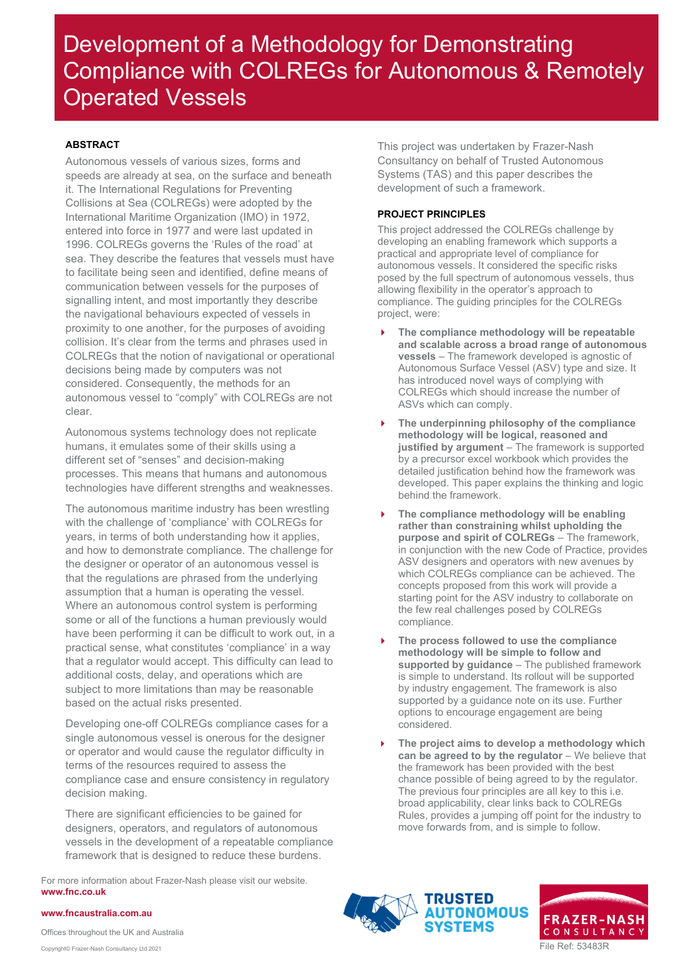### <span id="page-1-0"></span>**ABSTRACT**

Autonomous vessels of various sizes, forms and speeds are already at sea, on the surface and beneath it. The International Regulations for Preventing Collisions at Sea (COLREGs) were adopted by the International Maritime Organization (IMO) in 1972, entered into force in 1977 and were last updated in 1996. COLREGs governs the 'Rules of the road' at sea. They describe the features that vessels must have to facilitate being seen and identified, define means of communication between vessels for the purposes of signalling intent, and most importantly they describe the navigational behaviours expected of vessels in proximity to one another, for the purposes of avoiding collision. It's clear from the terms and phrases used in COLREGs that the notion of navigational or operational decisions being made by computers was not considered. Consequently, the methods for an autonomous vessel to "comply" with COLREGs are not clear.

Autonomous systems technology does not replicate humans, it emulates some of their skills using a different set of "senses" and decision-making processes. This means that humans and autonomous technologies have different strengths and weaknesses.

The autonomous maritime industry has been wrestling with the challenge of 'compliance' with COLREGs for years, in terms of both understanding how it applies, and how to demonstrate compliance. The challenge for the designer or operator of an autonomous vessel is that the regulations are phrased from the underlying assumption that a human is operating the vessel. Where an autonomous control system is performing some or all of the functions a human previously would have been performing it can be difficult to work out, in a practical sense, what constitutes 'compliance' in a way that a regulator would accept. This difficulty can lead to additional costs, delay, and operations which are subject to more limitations than may be reasonable based on the actual risks presented.

Developing one-off COLREGs compliance cases for a single autonomous vessel is onerous for the designer or operator and would cause the regulator difficulty in terms of the resources required to assess the compliance case and ensure consistency in regulatory decision making.

There are significant efficiencies to be gained for designers, operators, and regulators of autonomous vessels in the development of a repeatable compliance framework that is designed to reduce these burdens.

For more information about Frazer-Nash please visit our website. **www.fnc.co.uk**

This project was undertaken by Frazer-Nash Consultancy on behalf of Trusted Autonomous Systems (TAS) and this paper describes the development of such a framework.

### <span id="page-1-1"></span>**PROJECT PRINCIPLES**

This project addressed the COLREGs challenge by developing an enabling framework which supports a practical and appropriate level of compliance for autonomous vessels. It considered the specific risks posed by the full spectrum of autonomous vessels, thus allowing flexibility in the operator's approach to compliance. The guiding principles for the COLREGs project, were:

- **The compliance methodology will be repeatable and scalable across a broad range of autonomous vessels** – The framework developed is agnostic of Autonomous Surface Vessel (ASV) type and size. It has introduced novel ways of complying with COLREGs which should increase the number of ASVs which can comply.
- **The underpinning philosophy of the compliance methodology will be logical, reasoned and justified by argument** – The framework is supported by a precursor excel workbook which provides the detailed justification behind how the framework was developed. This paper explains the thinking and logic behind the framework.
- **The compliance methodology will be enabling rather than constraining whilst upholding the purpose and spirit of COLREGs** – The framework, in conjunction with the new Code of Practice, provides ASV designers and operators with new avenues by which COLREGs compliance can be achieved. The concepts proposed from this work will provide a starting point for the ASV industry to collaborate on the few real challenges posed by COLREGs compliance.
- **The process followed to use the compliance methodology will be simple to follow and supported by guidance** – The published framework is simple to understand. Its rollout will be supported by industry engagement. The framework is also supported by a guidance note on its use. Further options to encourage engagement are being considered.
- **The project aims to develop a methodology which can be agreed to by the regulator** – We believe that the framework has been provided with the best chance possible of being agreed to by the regulator. The previous four principles are all key to this i.e. broad applicability, clear links back to COLREGs Rules, provides a jumping off point for the industry to move forwards from, and is simple to follow.





#### **www.fncaustralia.com.au**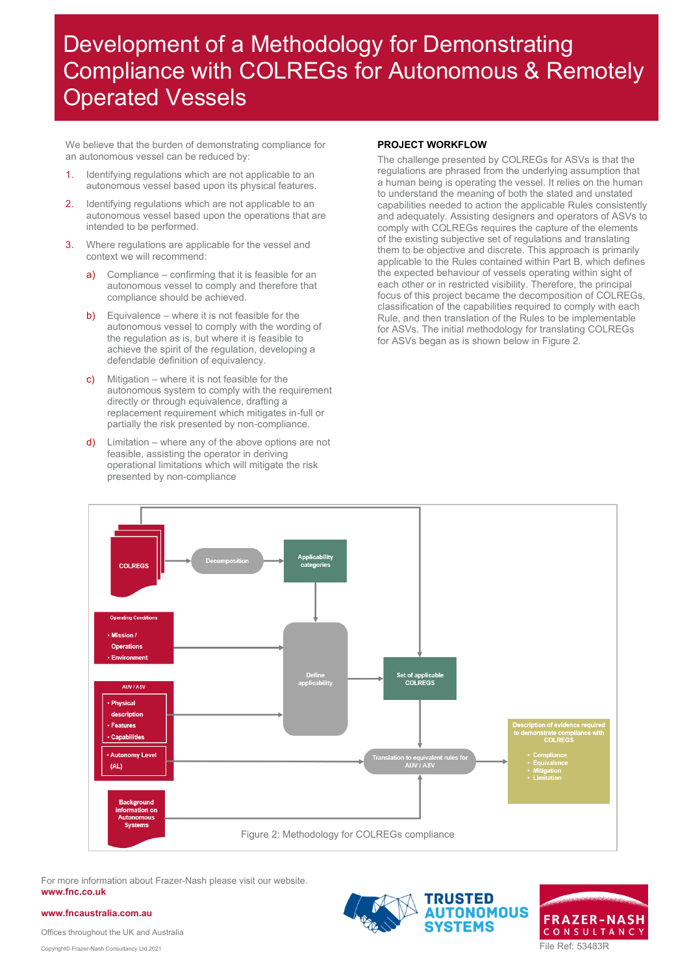We believe that the burden of demonstrating compliance for an autonomous vessel can be reduced by:

- 1. Identifying regulations which are not applicable to an autonomous vessel based upon its physical features.
- 2. Identifying regulations which are not applicable to an autonomous vessel based upon the operations that are intended to be performed.
- 3. Where regulations are applicable for the vessel and context we will recommend:
	- a) Compliance confirming that it is feasible for an autonomous vessel to comply and therefore that compliance should be achieved.
	- b) Equivalence where it is not feasible for the autonomous vessel to comply with the wording of the regulation as is, but where it is feasible to achieve the spirit of the regulation, developing a defendable definition of equivalency.
	- c) Mitigation where it is not feasible for the autonomous system to comply with the requirement directly or through equivalence, drafting a replacement requirement which mitigates in-full or partially the risk presented by non-compliance.
	- $d)$  Limitation where any of the above options are not feasible, assisting the operator in deriving operational limitations which will mitigate the risk presented by non-compliance

### **PROJECT WORKFLOW**

The challenge presented by COLREGs for ASVs is that the regulations are phrased from the underlying assumption that a human being is operating the vessel. It relies on the human to understand the meaning of both the stated and unstated capabilities needed to action the applicable Rules consistently and adequately. Assisting designers and operators of ASVs to comply with COLREGs requires the capture of the elements of the existing subjective set of regulations and translating them to be objective and discrete. This approach is primarily applicable to the Rules contained within Part B, which defines the expected behaviour of vessels operating within sight of each other or in restricted visibility. Therefore, the principal focus of this project became the decomposition of COLREGs, classification of the capabilities required to comply with each Rule, and then translation of the Rules to be implementable for ASVs. The initial methodology for translating COLREGs for ASVs began as is shown below i[n Figure 2.](#page-2-1)

<span id="page-2-0"></span>

For more information about Frazer-Nash please visit our website. **www.fnc.co.uk**

**www.fncaustralia.com.au**

<span id="page-2-1"></span>

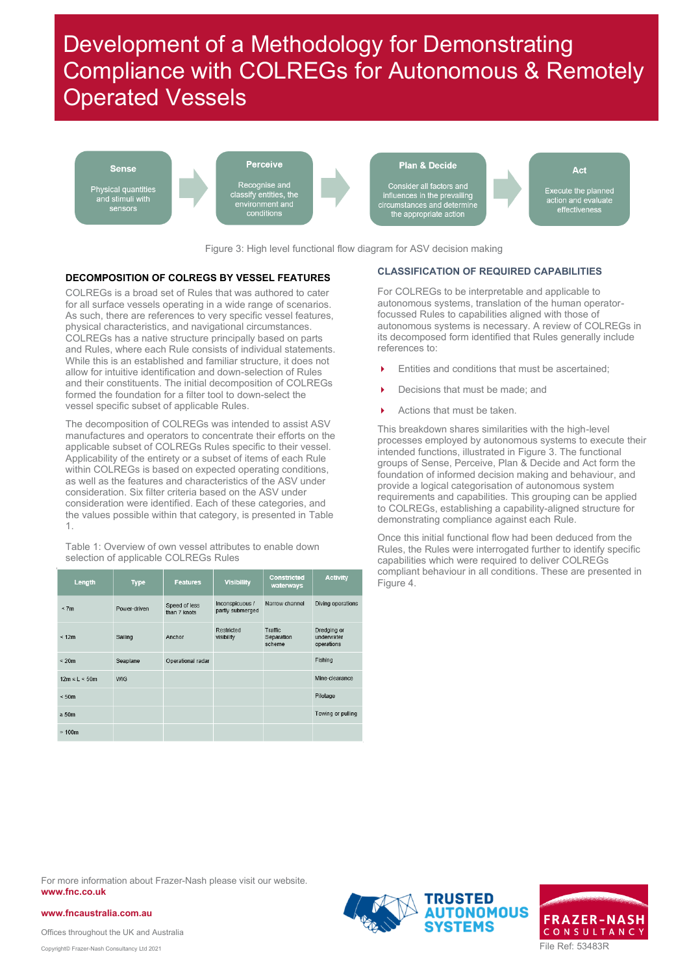

Figure 3: High level functional flow diagram for ASV decision making

#### <span id="page-3-3"></span><span id="page-3-0"></span>**DECOMPOSITION OF COLREGS BY VESSEL FEATURES**

COLREGs is a broad set of Rules that was authored to cater for all surface vessels operating in a wide range of scenarios. As such, there are references to very specific vessel features, physical characteristics, and navigational circumstances. COLREGs has a native structure principally based on parts and Rules, where each Rule consists of individual statements. While this is an established and familiar structure, it does not allow for intuitive identification and down-selection of Rules and their constituents. The initial decomposition of COLREGs formed the foundation for a filter tool to down-select the vessel specific subset of applicable Rules.

The decomposition of COLREGs was intended to assist ASV manufactures and operators to concentrate their efforts on the applicable subset of COLREGs Rules specific to their vessel. Applicability of the entirety or a subset of items of each Rule within COLREGs is based on expected operating conditions, as well as the features and characteristics of the ASV under consideration. Six filter criteria based on the ASV under consideration were identified. Each of these categories, and the values possible within that category, is presented in [Table](#page-3-2)  [1.](#page-3-2)

<span id="page-3-2"></span>Table 1: Overview of own vessel attributes to enable down selection of applicable COLREGs Rules

| Length              | <b>Type</b>  | <b>Features</b>               | <b>Visibility</b>                   | <b>Constricted</b><br>waterways | <b>Activity</b>                         |
|---------------------|--------------|-------------------------------|-------------------------------------|---------------------------------|-----------------------------------------|
| < 7m                | Power-driven | Speed of less<br>than 7 knots | Inconspicuous /<br>partly submerged | Narrow channel                  | Diving operations                       |
| < 12m               | Sailing      | Anchor                        | Restricted<br>visibility            | Traffic<br>Separation<br>scheme | Dredging or<br>underwater<br>operations |
| $\leq 20m$          | Seaplane     | Operational radar             |                                     |                                 | Fishing                                 |
| $12m \le L \le 50m$ | <b>WIG</b>   |                               |                                     |                                 | Mine-clearance                          |
| $\leq 50m$          |              |                               |                                     |                                 | Pilotage                                |
| $\geq 50m$          |              |                               |                                     |                                 | Towing or pulling                       |
| >100m               |              |                               |                                     |                                 |                                         |

#### <span id="page-3-1"></span>**CLASSIFICATION OF REQUIRED CAPABILITIES**

For COLREGs to be interpretable and applicable to autonomous systems, translation of the human operatorfocussed Rules to capabilities aligned with those of autonomous systems is necessary. A review of COLREGs in its decomposed form identified that Rules generally include references to:

- Entities and conditions that must be ascertained;
- Decisions that must be made; and
- Actions that must be taken

This breakdown shares similarities with the high-level processes employed by autonomous systems to execute their intended functions, illustrated i[n Figure 3.](#page-3-3) The functional groups of Sense, Perceive, Plan & Decide and Act form the foundation of informed decision making and behaviour, and provide a logical categorisation of autonomous system requirements and capabilities. This grouping can be applied to COLREGs, establishing a capability-aligned structure for demonstrating compliance against each Rule.

Once this initial functional flow had been deduced from the Rules, the Rules were interrogated further to identify specific capabilities which were required to deliver COLREGs compliant behaviour in all conditions. These are presented in [Figure 4.](#page-4-0)

For more information about Frazer-Nash please visit our website. **www.fnc.co.uk**

**www.fncaustralia.com.au**



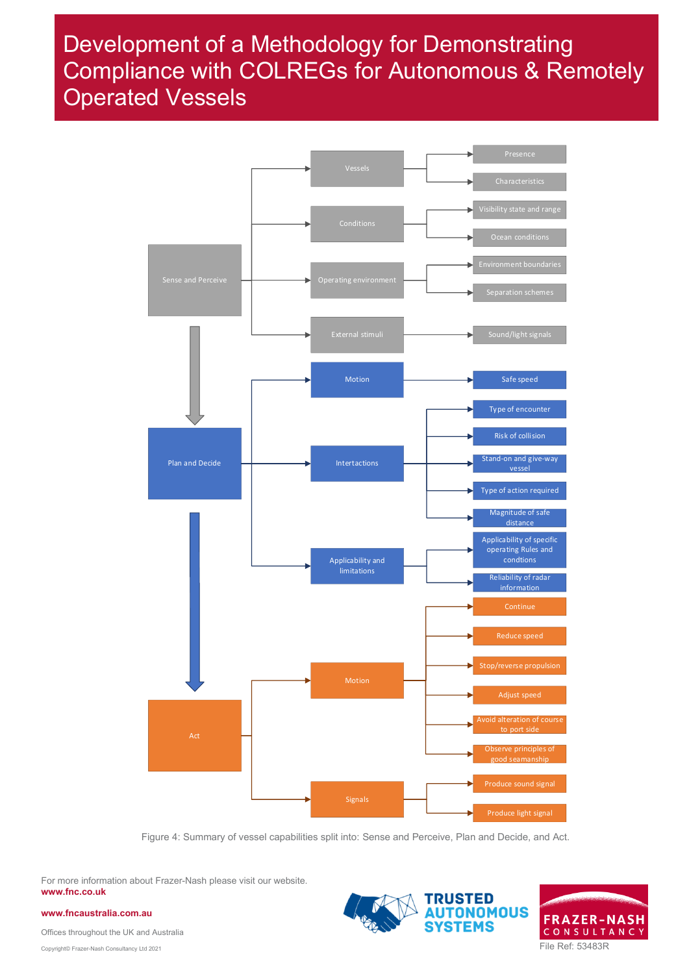

<span id="page-4-0"></span>Figure 4: Summary of vessel capabilities split into: Sense and Perceive, Plan and Decide, and Act.

For more information about Frazer-Nash please visit our website. **www.fnc.co.uk**

**www.fncaustralia.com.au**



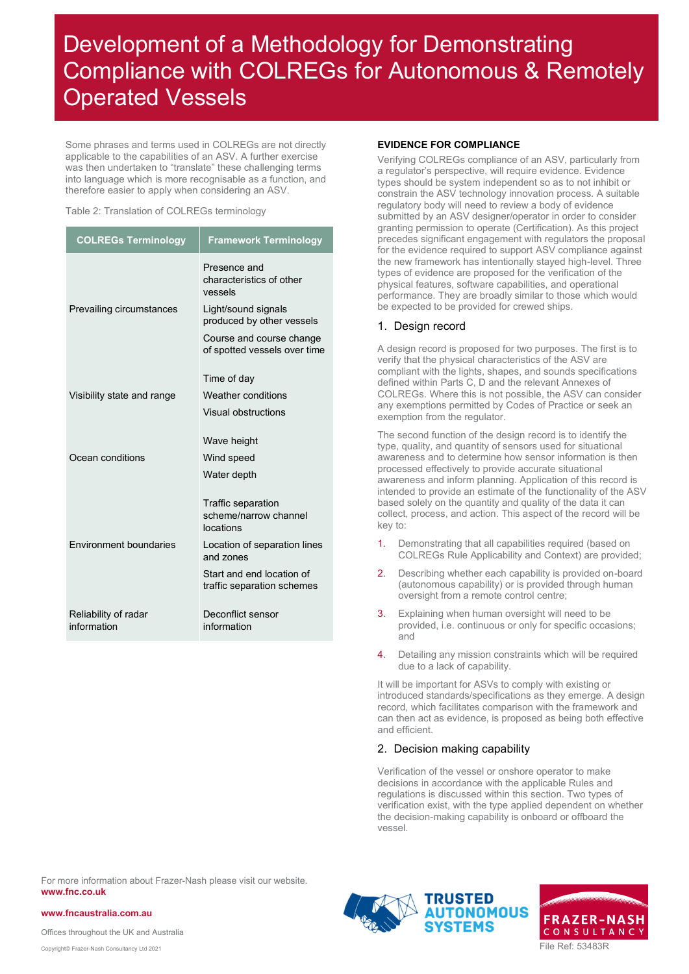Some phrases and terms used in COLREGs are not directly applicable to the capabilities of an ASV. A further exercise was then undertaken to "translate" these challenging terms into language which is more recognisable as a function, and therefore easier to apply when considering an ASV.

#### Table 2: Translation of COLREGs terminology

| <b>COLREGs Terminology</b>          | <b>Framework Terminology</b>                                                                                                                                        |
|-------------------------------------|---------------------------------------------------------------------------------------------------------------------------------------------------------------------|
| Prevailing circumstances            | Presence and<br>characteristics of other<br>vessels<br>Light/sound signals<br>produced by other vessels<br>Course and course change<br>of spotted vessels over time |
| Visibility state and range          | Time of day<br>Weather conditions<br>Visual obstructions                                                                                                            |
| Ocean conditions                    | Wave height<br>Wind speed<br>Water depth                                                                                                                            |
| <b>Fnvironment boundaries</b>       | Traffic separation<br>scheme/narrow channel<br>locations<br>Location of separation lines<br>and zones<br>Start and end location of<br>traffic separation schemes    |
| Reliability of radar<br>information | Deconflict sensor<br>information                                                                                                                                    |

### <span id="page-5-0"></span>**EVIDENCE FOR COMPLIANCE**

Verifying COLREGs compliance of an ASV, particularly from a regulator's perspective, will require evidence. Evidence types should be system independent so as to not inhibit or constrain the ASV technology innovation process. A suitable regulatory body will need to review a body of evidence submitted by an ASV designer/operator in order to consider granting permission to operate (Certification). As this project precedes significant engagement with regulators the proposal for the evidence required to support ASV compliance against the new framework has intentionally stayed high-level. Three types of evidence are proposed for the verification of the physical features, software capabilities, and operational performance. They are broadly similar to those which would be expected to be provided for crewed ships.

### 1. Design record

A design record is proposed for two purposes. The first is to verify that the physical characteristics of the ASV are compliant with the lights, shapes, and sounds specifications defined within Parts C, D and the relevant Annexes of COLREGs. Where this is not possible, the ASV can consider any exemptions permitted by Codes of Practice or seek an exemption from the regulator.

The second function of the design record is to identify the type, quality, and quantity of sensors used for situational awareness and to determine how sensor information is then processed effectively to provide accurate situational awareness and inform planning. Application of this record is intended to provide an estimate of the functionality of the ASV based solely on the quantity and quality of the data it can collect, process, and action. This aspect of the record will be key to:

- 1. Demonstrating that all capabilities required (based on COLREGs Rule Applicability and Context) are provided;
- 2. Describing whether each capability is provided on-board (autonomous capability) or is provided through human oversight from a remote control centre;
- 3. Explaining when human oversight will need to be provided, i.e. continuous or only for specific occasions; and
- 4. Detailing any mission constraints which will be required due to a lack of capability.

It will be important for ASVs to comply with existing or introduced standards/specifications as they emerge. A design record, which facilitates comparison with the framework and can then act as evidence, is proposed as being both effective and efficient.

### 2. Decision making capability

Verification of the vessel or onshore operator to make decisions in accordance with the applicable Rules and regulations is discussed within this section. Two types of verification exist, with the type applied dependent on whether the decision-making capability is onboard or offboard the vessel.

For more information about Frazer-Nash please visit our website. **www.fnc.co.uk**





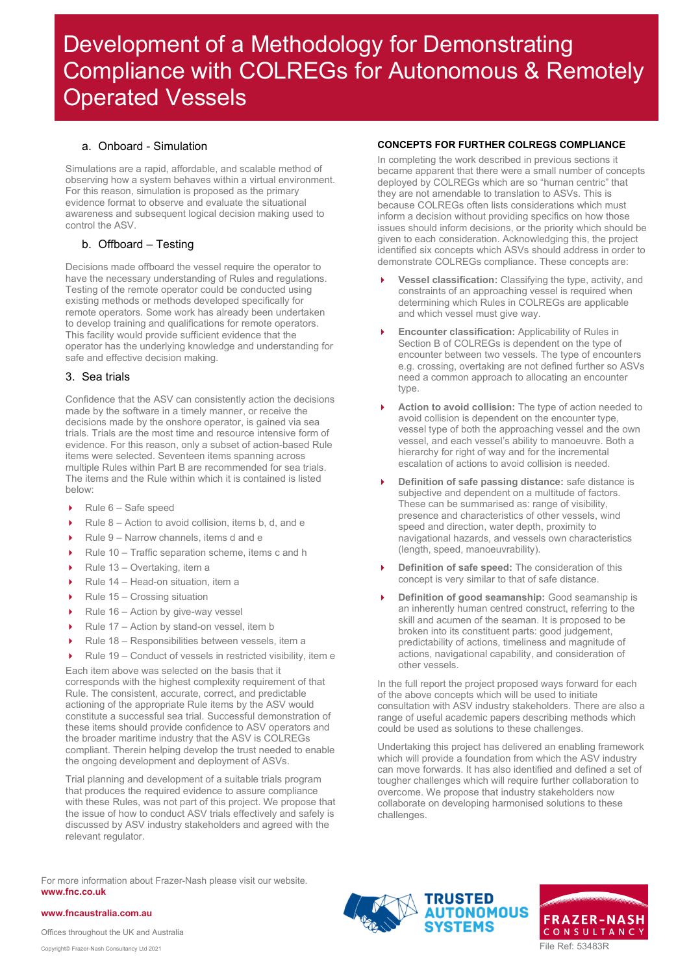### a. Onboard - Simulation

Simulations are a rapid, affordable, and scalable method of observing how a system behaves within a virtual environment. For this reason, simulation is proposed as the primary evidence format to observe and evaluate the situational awareness and subsequent logical decision making used to control the ASV.

## b. Offboard – Testing

Decisions made offboard the vessel require the operator to have the necessary understanding of Rules and regulations. Testing of the remote operator could be conducted using existing methods or methods developed specifically for remote operators. Some work has already been undertaken to develop training and qualifications for remote operators. This facility would provide sufficient evidence that the operator has the underlying knowledge and understanding for safe and effective decision making.

### 3. Sea trials

Confidence that the ASV can consistently action the decisions made by the software in a timely manner, or receive the decisions made by the onshore operator, is gained via sea trials. Trials are the most time and resource intensive form of evidence. For this reason, only a subset of action-based Rule items were selected. Seventeen items spanning across multiple Rules within Part B are recommended for sea trials. The items and the Rule within which it is contained is listed below:

- $\triangleright$  Rule 6 Safe speed
- Rule 8 Action to avoid collision, items b, d, and e
- ▶ Rule 9 Narrow channels, items d and e
- ▶ Rule 10 Traffic separation scheme, items c and h
- Rule  $13 -$  Overtaking, item a
- Rule  $14$  Head-on situation, item a
- $\blacktriangleright$  Rule 15 Crossing situation
- Rule  $16 -$  Action by give-way vessel
- Rule 17 Action by stand-on vessel, item b
- ▶ Rule 18 Responsibilities between vessels, item a
- Rule 19 Conduct of vessels in restricted visibility, item e

Each item above was selected on the basis that it corresponds with the highest complexity requirement of that Rule. The consistent, accurate, correct, and predictable actioning of the appropriate Rule items by the ASV would constitute a successful sea trial. Successful demonstration of these items should provide confidence to ASV operators and the broader maritime industry that the ASV is COLREGs compliant. Therein helping develop the trust needed to enable the ongoing development and deployment of ASVs.

Trial planning and development of a suitable trials program that produces the required evidence to assure compliance with these Rules, was not part of this project. We propose that the issue of how to conduct ASV trials effectively and safely is discussed by ASV industry stakeholders and agreed with the relevant regulator.

For more information about Frazer-Nash please visit our website. **www.fnc.co.uk**

<span id="page-6-0"></span>**CONCEPTS FOR FURTHER COLREGS COMPLIANCE**

In completing the work described in previous sections it became apparent that there were a small number of concepts deployed by COLREGs which are so "human centric" that they are not amendable to translation to ASVs. This is because COLREGs often lists considerations which must inform a decision without providing specifics on how those issues should inform decisions, or the priority which should be given to each consideration. Acknowledging this, the project identified six concepts which ASVs should address in order to demonstrate COLREGs compliance. These concepts are:

- **Vessel classification:** Classifying the type, activity, and constraints of an approaching vessel is required when determining which Rules in COLREGs are applicable and which vessel must give way.
- **Encounter classification:** Applicability of Rules in Section B of COLREGs is dependent on the type of encounter between two vessels. The type of encounters e.g. crossing, overtaking are not defined further so ASVs need a common approach to allocating an encounter type.
- **Action to avoid collision:** The type of action needed to avoid collision is dependent on the encounter type, vessel type of both the approaching vessel and the own vessel, and each vessel's ability to manoeuvre. Both a hierarchy for right of way and for the incremental escalation of actions to avoid collision is needed.
- **Definition of safe passing distance:** safe distance is subjective and dependent on a multitude of factors. These can be summarised as: range of visibility, presence and characteristics of other vessels, wind speed and direction, water depth, proximity to navigational hazards, and vessels own characteristics (length, speed, manoeuvrability).
- **Definition of safe speed:** The consideration of this concept is very similar to that of safe distance.
- **Definition of good seamanship:** Good seamanship is an inherently human centred construct, referring to the skill and acumen of the seaman. It is proposed to be broken into its constituent parts: good judgement, predictability of actions, timeliness and magnitude of actions, navigational capability, and consideration of other vessels.

In the full report the project proposed ways forward for each of the above concepts which will be used to initiate consultation with ASV industry stakeholders. There are also a range of useful academic papers describing methods which could be used as solutions to these challenges.

Undertaking this project has delivered an enabling framework which will provide a foundation from which the ASV industry can move forwards. It has also identified and defined a set of tougher challenges which will require further collaboration to overcome. We propose that industry stakeholders now collaborate on developing harmonised solutions to these challenges.





**www.fncaustralia.com.au**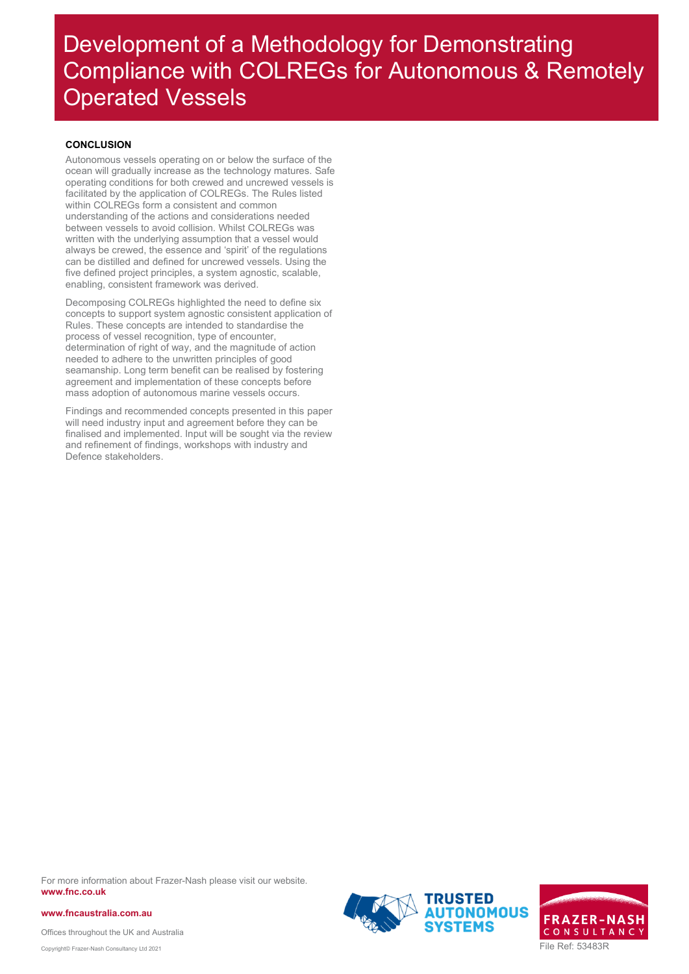### <span id="page-7-0"></span>**CONCLUSION**

Autonomous vessels operating on or below the surface of the ocean will gradually increase as the technology matures. Safe operating conditions for both crewed and uncrewed vessels is facilitated by the application of COLREGs. The Rules listed within COLREGs form a consistent and common understanding of the actions and considerations needed between vessels to avoid collision. Whilst COLREGs was written with the underlying assumption that a vessel would always be crewed, the essence and 'spirit' of the regulations can be distilled and defined for uncrewed vessels. Using the five defined project principles, a system agnostic, scalable, enabling, consistent framework was derived.

Decomposing COLREGs highlighted the need to define six concepts to support system agnostic consistent application of Rules. These concepts are intended to standardise the process of vessel recognition, type of encounter, determination of right of way, and the magnitude of action needed to adhere to the unwritten principles of good seamanship. Long term benefit can be realised by fostering agreement and implementation of these concepts before mass adoption of autonomous marine vessels occurs.

Findings and recommended concepts presented in this paper will need industry input and agreement before they can be finalised and implemented. Input will be sought via the review and refinement of findings, workshops with industry and Defence stakeholders.

For more information about Frazer-Nash please visit our website. **www.fnc.co.uk**

**www.fncaustralia.com.au**